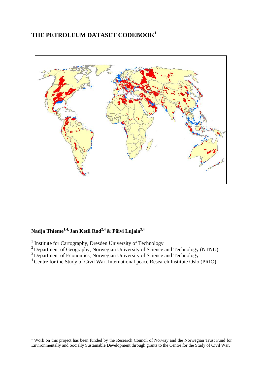# **THE PETROLEUM DATASET CODEBOOK<sup>1</sup>**



# Nadja Thieme<sup>1,4,</sup> Jan Ketil Rød<sup>2,4</sup> & Päivi Lujala<sup>3,4</sup>

<u>.</u>

- $2^{2}$  Department of Geography, Norwegian University of Science and Technology (NTNU)
- $3$  Department of Economics, Norwegian University of Science and Technology
- <sup>4</sup> Centre for the Study of Civil War, International peace Research Institute Oslo (PRIO)

<sup>&</sup>lt;sup>1</sup> Institute for Cartography, Dresden University of Technology

<sup>&</sup>lt;sup>1</sup> Work on this project has been funded by the Research Council of Norway and the Norwegian Trust Fund for Environmentally and Socially Sustainable Development through grants to the Centre for the Study of Civil War.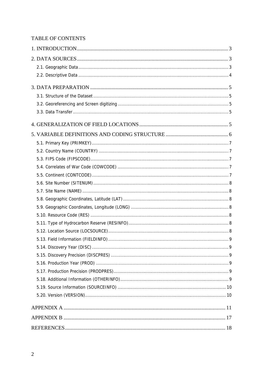## TABLE OF CONTENTS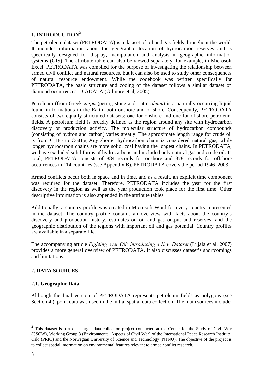#### **1. INTRODUCTION<sup>2</sup>**

The petroleum dataset (PETRODATA) is a dataset of oil and gas fields throughout the world. It includes information about the geographic location of hydrocarbon reserves and is specifically designed for display, manipulation and analysis in geographic information systems (GIS). The attribute table can also be viewed separately, for example, in Microsoft Excel. PETRODATA was compiled for the purpose of investigating the relationship between armed civil conflict and natural resources, but it can also be used to study other consequences of natural resource endowment. While the codebook was written specifically for PETRODATA, the basic structure and coding of the dataset follows a similar dataset on diamond occurrences, DIADATA (Gilmore et al, 2005).

Petroleum (from Greek *πετρα* (petra), stone and Latin *oleum*) is a naturally occurring liquid found in formations in the Earth, both onshore and offshore. Consequently, PETRODATA consists of two equally structured datasets: one for onshore and one for offshore petroleum fields. A petroleum field is broadly defined as the region around any site with hydrocarbon discovery or production activity. The molecular structure of hydrocarbon compounds (consisting of hydron and carbon) varies greatly. The approximate length range for crude oil is from  $C_5H_{12}$  to  $C_{18}H_{38}$  Any shorter hydrocarbon chain is considered natural gas, while longer hydrocarbon chains are more solid, coal having the longest chains. In PETRODATA, we have excluded solid forms of hydrocarbons and included only natural gas and crude oil. In total, PETRODATA consists of 884 records for onshore and 378 records for offshore occurrences in 114 countries (see Appendix B). PETRODATA covers the period 1946–2003.

Armed conflicts occur both in space and in time, and as a result, an explicit time component was required for the dataset. Therefore, PETRODATA includes the year for the first discovery in the region as well as the year production took place for the first time. Other descriptive information is also appended in the attribute tables.

Additionally, a country profile was created in Microsoft Word for every country represented in the dataset. The country profile contains an overview with facts about the country's discovery and production history, estimates on oil and gas output and reserves, and the geographic distribution of the regions with important oil and gas potential. Country profiles are available in a separate file.

The accompanying article *Fighting over Oil: Introducing a New Dataset* (Lujala et al, 2007) provides a more general overview of PETRODATA. It also discusses dataset's shortcomings and limitations.

### **2. DATA SOURCES**

#### **2.1. Geographic Data**

Although the final version of PETRODATA represents petroleum fields as polygons (see Section 4.), point data was used in the initial spatial data collection. The main sources include:

<sup>&</sup>lt;sup>2</sup> This dataset is part of a larger data collection project conducted at the Center for the Study of Civil War (CSCW), Working Group 3 (Environmental Aspects of Civil War) of the International Peace Research Institute, Oslo (PRIO) and the Norwegian University of Science and Technology (NTNU). The objective of the project is to collect spatial information on environmental features relevant to armed conflict research.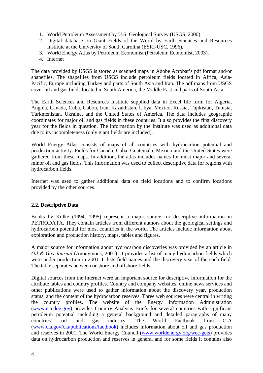- 1. World Petroleum Assessment by U.S. Geological Survey (USGS, 2000).
- 2. Digital database on Giant Fields of the World by Earth Sciences and Resources Institute at the University of South Carolina (ESRI-USC, 1996).
- 3. World Energy Atlas by Petroleum Economist (Petroleum Economist, 2003).
- 4. Internet

The data provided by USGS is stored as scanned maps in Adobe Acrobat's pdf format and/or shapefiles. The shapefiles from USGS include petroleum fields located in Africa, Asia-Pacific, Europe including Turkey and parts of South Asia and Iran. The pdf maps from USGS cover oil and gas fields located in South America, the Middle East and parts of South Asia.

The Earth Sciences and Resources Institute supplied data in Excel file form for Algeria, Angola, Canada, Cuba, Gabon, Iran, Kazakhstan, Libya, Mexico, Russia, Tajikistan, Tunisia, Turkmenistan, Ukraine, and the United States of America. The data includes geographic coordinates for major oil and gas fields in these countries. It also provides the first discovery year for the fields in question. The information by the Institute was used as additional data due to its incompleteness (only giant fields are included).

World Energy Atlas consists of maps of all countries with hydrocarbon potential and production activity. Fields for Canada, Cuba, Guatemala, Mexico and the United States were gathered from these maps. In addition, the atlas includes names for most major and several minor oil and gas fields. This information was used to collect descriptive data for regions with hydrocarbon fields.

Internet was used to gather additional data on field locations and to confirm locations provided by the other sources.

#### **2.2. Descriptive Data**

Books by Kulke (1994, 1995) represent a major source for descriptive information in PETRODATA. They contain articles from different authors about the geological settings and hydrocarbon potential for most countries in the world. The articles include information about exploration and production history, maps, tables and figures.

A major source for information about hydrocarbon discoveries was provided by an article in *Oil & Gas Journal* (Anonymous, 2001). It provides a list of many hydrocarbon fields which were under production in 2001. It lists field names and the discovery year of the each field. The table separates between onshore and offshore fields.

Digital sources from the Internet were an important source for descriptive information for the attribute tables and country profiles. Country and company websites, online news services and other publications were used to gather information about the discovery year, production status, and the content of the hydrocarbon reserves. Three web sources were central in writing the country profiles. The website of the Energy Information Administration (www.eia.doe.gov) provides Country Analysis Briefs for several countries with significant petroleum potential including a general background and detailed paragraphs of many countries' oil and gas industry. The World Factbook from CIA (www.cia.gov/cia/publications/factbook) includes information about oil and gas production and reserves in 2001. The World Energy Council (www.worldenergy.org/wec-geis) provides data on hydrocarbon production and reserves in general and for some fields it contains also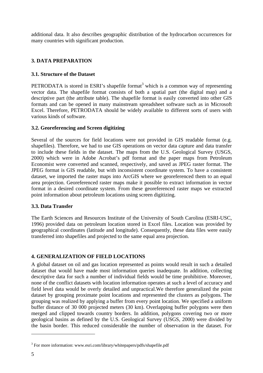additional data. It also describes geographic distribution of the hydrocarbon occurrences for many countries with significant production.

#### **3. DATA PREPARATION**

#### **3.1. Structure of the Dataset**

PETRODATA is stored in ESRI's shapefile format<sup>3</sup> which is a common way of representing vector data. The shapefile format consists of both a spatial part (the digital map) and a descriptive part (the attribute table). The shapefile format is easily converted into other GIS formats and can be opened in many mainstream spreadsheet software such as in Microsoft Excel. Therefore, PETRODATA should be widely available to different sorts of users with various kinds of software.

#### **3.2. Georeferencing and Screen digitizing**

Several of the sources for field locations were not provided in GIS readable format (e.g. shapefiles). Therefore, we had to use GIS operations on vector data capture and data transfer to include these fields in the dataset. The maps from the U.S. Geological Survey (USGS, 2000) which were in Adobe Acrobat's pdf format and the paper maps from Petroleum Economist were converted and scanned, respectively, and saved as JPEG raster format. The JPEG format is GIS readable, but with inconsistent coordinate system. To have a consistent dataset, we imported the raster maps into ArcGIS where we georeferenced them to an equal area projection. Georeferenced raster maps make it possible to extract information in vector format in a desired coordinate system. From these georeferenced raster maps we extracted point information about petroleum locations using screen digitizing.

#### **3.3. Data Transfer**

The Earth Sciences and Resources Institute of the University of South Carolina (ESRI-USC, 1996) provided data on petroleum location stored in Excel files. Location was provided by geographical coordinates (latitude and longitude). Consequently, these data files were easily transferred into shapefiles and projected to the same equal area projection.

#### **4. GENERALIZATION OF FIELD LOCATIONS**

A global dataset on oil and gas location represented as points would result in such a detailed dataset that would have made most information queries inadequate. In addition, collecting descriptive data for such a number of individual fields would be time prohibitive. Moreover, none of the conflict datasets with location information operates at such a level of accuracy and field level data would be overly detailed and unpractical.We therefore generalized the point dataset by grouping proximate point locations and represented the clusters as polygons. The grouping was realized by applying a buffer from every point location. We specified a uniform buffer distance of 30 000 projected meters (30 km). Overlapping buffer polygons were then merged and clipped towards country borders. In addition, polygons covering two or more geological basins as defined by the U.S. Geological Survey (USGS, 2000) were divided by the basin border. This reduced considerable the number of observation in the dataset. For

<sup>&</sup>lt;sup>3</sup> For more information: www.esri.com/library/whitepapers/pdfs/shapefile.pdf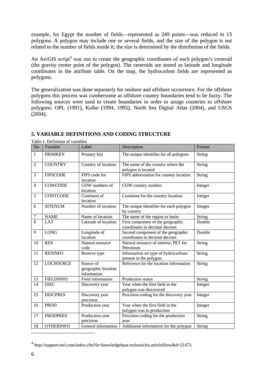example, for Egypt the number of fields—represented as 249 points—was reduced to 13 polygons. A polygon may include one or several fields, and the size of the polygon is not related to the number of fields inside it; the size is determined by the distribution of the fields.

An ArcGIS script<sup>4</sup> was run to create the geographic coordinates of each polygon's centroid (the gravity center point of the polygon). The centroids are stored as latitude and longitude coordinates in the attribute table. On the map, the hydrocarbon fields are represented as polygons.

The generalization was done separately for onshore and offshore occurrence. For the offshore polygons this process was cumbersome as offshore country boundaries tend to be fuzzy. The following sources were used to create boundaries in order to assign countries to offshore polygons: OPL (1991), Kulke (1994, 1995), North Sea Digital Atlas (2004), and USGS (2004).

#### No Variable Label Description Format 1 PRIMKEY Primary key The unique identifier for all polygons String 2 COUNTRY Country of location The name of the country where the polygon is located String 3 FIPSCODE FIPS code for location FIPS abbreviation for country location  $\vert$  String 4 COWCODE COW numbers of location COW country number Integer 5 CONTCODE Continent of location Continent for the country location Integer 6 SITENUM Number of location The unique identifier for each polygon by country Integer 7 NAME Name of location The name of the region or basin String<br>8 LAT Latitude of location First component of the geographic Doubl 8 LAT Latitude of location First component of the geographic coordinates in decimal decrees Double 9 LONG Longitude of location Second component of the geographic coordinates in decimal decrees Double 10 RES Natural resource code Natural resource of interest; PET for Petroleum String 11 RESINFO Reserve type Information on type of hydrocarbons present in the polygon String 12 LOCSOURCE Source of geographic location information Reference for the location information String 13 FIELDINFO Field information Production status String 14 DISC Discovery year Year when the first field in the polygon was discovered Integer 15 DISCPRES Discovery year precision Precision coding for the discovery year  $\parallel$  Integer 16 PROD Production year Year when the first field in the polygon was in production Integer 17 PRODPRES Production year precision Precision coding for the production year String 18 OTHERINFO General information Additional information for the polygon String

#### **5. VARIABLE DEFINITIONS AND CODING STRUCTURE**

Table 1. Definition of variables

<sup>4</sup> http://support.esri.com/index.cfm?fa=knowledgebase.techarticles.articleShow&d=21473.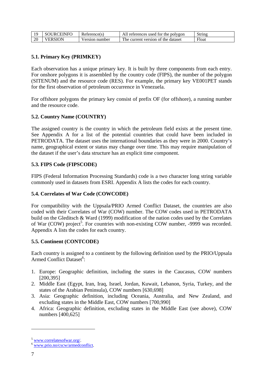| 10 | <b>CEINFO</b><br><b>OURC</b> | Reference(s)  | A11<br>references used for the polygon  | String |
|----|------------------------------|---------------|-----------------------------------------|--------|
| 20 | FRSION                       | ersion number | The c<br>current version of the dataset | Float  |

#### **5.1. Primary Key (PRIMKEY)**

Each observation has a unique primary key. It is built by three components from each entry. For onshore polygons it is assembled by the country code (FIPS), the number of the polygon (SITENUM) and the resource code (RES). For example, the primary key VE001PET stands for the first observation of petroleum occurrence in Venezuela.

For offshore polygons the primary key consist of prefix OF (for offshore), a running number and the resource code.

#### **5.2. Country Name (COUNTRY)**

The assigned country is the country in which the petroleum field exists at the present time. See Appendix A for a list of the potential countries that could have been included in PETRODATA. The dataset uses the international boundaries as they were in 2000. Country's name, geographical extent or status may change over time. This may require manipulation of the dataset if the user's data structure has an explicit time component.

#### **5.3. FIPS Code (FIPSCODE)**

FIPS (Federal Information Processing Standards) code is a two character long string variable commonly used in datasets from ESRI. Appendix A lists the codes for each country.

#### **5.4. Correlates of War Code (COWCODE)**

For compatibility with the Uppsala/PRIO Armed Conflict Dataset, the countries are also coded with their Correlates of War (COW) number. The COW codes used in PETRODATA build on the Gleditsch & Ward (1999) modification of the nation codes used by the Correlates of War (COW) project<sup>5</sup>. For countries with non-existing COW number, -9999 was recorded. Appendix A lists the codes for each country.

#### **5.5. Continent (CONTCODE)**

Each country is assigned to a continent by the following definition used by the PRIO/Uppsala Armed Conflict Dataset<sup>6</sup>:

- 1. Europe: Geographic definition, including the states in the Caucasus, COW numbers [200,395]
- 2. Middle East (Egypt, Iran, Iraq, Israel, Jordan, Kuwait, Lebanon, Syria, Turkey, and the states of the Arabian Peninsula), COW numbers [630,698]
- 3. Asia: Geographic definition, including Oceania, Australia, and New Zealand, and excluding states in the Middle East, COW numbers [700,990]
- 4. Africa: Geographic definition, excluding states in the Middle East (see above), COW numbers [400,625]

<u>.</u>

 $5 \frac{\text{www.correlatesofwar.org}}{\text{www.prio.no/cscw/armedconflict}}$ .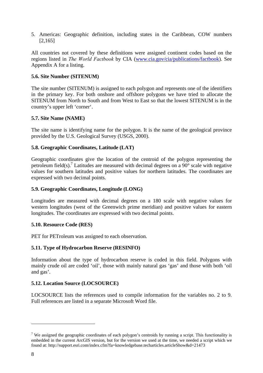5. Americas: Geographic definition, including states in the Caribbean, COW numbers [2,165]

All countries not covered by these definitions were assigned continent codes based on the regions listed in *The World Factbook* by CIA (www.cia.gov/cia/publications/factbook). See Appendix A for a listing.

#### **5.6. Site Number (SITENUM)**

The site number (SITENUM) is assigned to each polygon and represents one of the identifiers in the primary key. For both onshore and offshore polygons we have tried to allocate the SITENUM from North to South and from West to East so that the lowest SITENUM is in the country's upper left 'corner'.

#### **5.7. Site Name (NAME)**

The site name is identifying name for the polygon. It is the name of the geological province provided by the U.S. Geological Survey (USGS, 2000).

#### **5.8. Geographic Coordinates, Latitude (LAT)**

Geographic coordinates give the location of the centroid of the polygon representing the petroleum field(s).<sup>7</sup> Latitudes are measured with decimal degrees on a  $90^{\circ}$  scale with negative values for southern latitudes and positive values for northern latitudes. The coordinates are expressed with two decimal points.

#### **5.9. Geographic Coordinates, Longitude (LONG)**

Longitudes are measured with decimal degrees on a 180 scale with negative values for western longitudes (west of the Greenwich prime meridian) and positive values for eastern longitudes. The coordinates are expressed with two decimal points.

#### **5.10. Resource Code (RES)**

PET for PETroleum was assigned to each observation.

#### **5.11. Type of Hydrocarbon Reserve (RESINFO)**

Information about the type of hydrocarbon reserve is coded in this field. Polygons with mainly crude oil are coded 'oil', those with mainly natural gas 'gas' and those with both 'oil and gas'.

#### **5.12. Location Source (LOCSOURCE)**

LOCSOURCE lists the references used to compile information for the variables no. 2 to 9. Full references are listed in a separate Microsoft Word file.

<sup>&</sup>lt;sup>7</sup> We assigned the geographic coordinates of each polygon's centroids by running a script. This functionality is embedded in the current ArcGIS version, but for the version we used at the time, we needed a script which we found at: http://support.esri.com/index.cfm?fa=knowledgebase.techarticles.articleShow&d=21473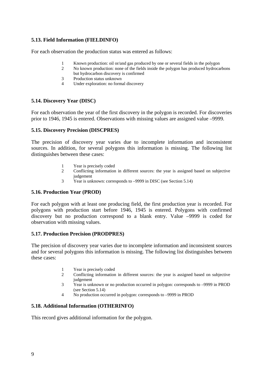#### **5.13. Field Information (FIELDINFO)**

For each observation the production status was entered as follows:

- 1 Known production: oil or/and gas produced by one or several fields in the polygon
- 2 No known production: none of the fields inside the polygon has produced hydrocarbons but hydrocarbon discovery is confirmed
- 3 Production status unknown
- 4 Under exploration: no formal discovery

#### **5.14. Discovery Year (DISC)**

For each observation the year of the first discovery in the polygon is recorded. For discoveries prior to 1946, 1945 is entered. Observations with missing values are assigned value –9999.

#### **5.15. Discovery Precision (DISCPRES)**

The precision of discovery year varies due to incomplete information and inconsistent sources. In addition, for several polygons this information is missing. The following list distinguishes between these cases:

- 1 Year is precisely coded
- 2 Conflicting information in different sources: the year is assigned based on subjective judgement
- 3 Year is unknown: corresponds to –9999 in DISC (see Section 5.14)

#### **5.16. Production Year (PROD)**

For each polygon with at least one producing field, the first production year is recorded. For polygons with production start before 1946, 1945 is entered. Polygons with confirmed discovery but no production correspond to a blank entry. Value –9999 is coded for observation with missing values.

#### **5.17. Production Precision (PRODPRES)**

The precision of discovery year varies due to incomplete information and inconsistent sources and for several polygons this information is missing. The following list distinguishes between these cases:

- 1 Year is precisely coded
- 2 Conflicting information in different sources: the year is assigned based on subjective judgement
- 3 Year is unknown or no production occurred in polygon: corresponds to –9999 in PROD (see Section 5.14)
- 4 No production occurred in polygon: corresponds to –9999 in PROD

#### **5.18. Additional Information (OTHERINFO)**

This record gives additional information for the polygon.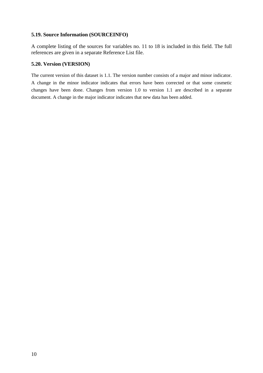#### **5.19. Source Information (SOURCEINFO)**

A complete listing of the sources for variables no. 11 to 18 is included in this field. The full references are given in a separate Reference List file.

#### **5.20. Version (VERSION)**

The current version of this dataset is 1.1. The version number consists of a major and minor indicator. A change in the minor indicator indicates that errors have been corrected or that some cosmetic changes have been done. Changes from version 1.0 to version 1.1 are described in a separate document. A change in the major indicator indicates that new data has been added.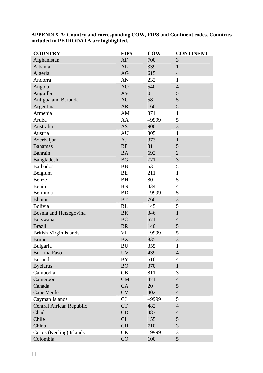**APPENDIX A: Country and corresponding COW, FIPS and Continent codes. Countries included in PETRODATA are highlighted.** 

| <b>COUNTRY</b>                  | <b>FIPS</b> | <b>COW</b>     | <b>CONTINENT</b> |
|---------------------------------|-------------|----------------|------------------|
| Afghanistan                     | AF          | 700            | 3                |
| Albania                         | AL          | 339            | 1                |
| Algeria                         | AG          | 615            | $\overline{4}$   |
| Andorra                         | AN          | 232            | $\mathbf{1}$     |
| Angola                          | AO          | 540            | $\overline{4}$   |
| Anguilla                        | AV          | $\overline{0}$ | 5                |
| Antigua and Barbuda             | <b>AC</b>   | 58             | 5                |
| Argentina                       | <b>AR</b>   | 160            | 5                |
| Armenia                         | AM          | 371            | $\mathbf{1}$     |
| Aruba                           | AA          | -9999          | 5                |
| Australia                       | <b>AS</b>   | 900            | 3                |
| Austria                         | AU          | 305            | $\mathbf{1}$     |
| Azerbaijan                      | AJ          | 373            | $\mathbf{1}$     |
| <b>Bahamas</b>                  | <b>BF</b>   | 31             | 5                |
| Bahrain                         | <b>BA</b>   | 692            | $\overline{2}$   |
| Bangladesh                      | <b>BG</b>   | 771            | 3                |
| <b>Barbados</b>                 | <b>BB</b>   | 53             | 5                |
| Belgium                         | <b>BE</b>   | 211            | $\mathbf{1}$     |
| <b>Belize</b>                   | <b>BH</b>   | 80             | 5                |
| Benin                           | <b>BN</b>   | 434            | $\overline{4}$   |
| Bermuda                         | <b>BD</b>   | $-9999$        | 5                |
| <b>Bhutan</b>                   | <b>BT</b>   | 760            | 3                |
| <b>Bolivia</b>                  | <b>BL</b>   | 145            | 5                |
| Bosnia and Herzegovina          | <b>BK</b>   | 346            | $\mathbf{1}$     |
| <b>Botswana</b>                 | <b>BC</b>   | 571            | $\overline{4}$   |
| <b>Brazil</b>                   | <b>BR</b>   | 140            | 5                |
| <b>British Virgin Islands</b>   | VI          | -9999          | 5                |
| <b>Brunei</b>                   | <b>BX</b>   | 835            | 3                |
| Bulgaria                        | <b>BU</b>   | 355            | 1                |
| <b>Burkina Faso</b>             | <b>UV</b>   | 439            | $\overline{4}$   |
| Burundi                         | <b>BY</b>   | 516            | $\overline{4}$   |
| <b>Byelarus</b>                 | <b>BO</b>   | 370            | $\mathbf{1}$     |
| Cambodia                        | CB          | 811            | 3                |
| Cameroon                        | <b>CM</b>   | 471            | $\overline{4}$   |
| Canada                          | CA          | 20             | 5                |
| Cape Verde                      | <b>CV</b>   | 402            | $\overline{4}$   |
| Cayman Islands                  | CJ          | -9999          | 5                |
| <b>Central African Republic</b> | <b>CT</b>   | 482            | $\overline{4}$   |
| Chad                            | CD          | 483            | $\overline{4}$   |
| Chile                           | <b>CI</b>   | 155            | 5                |
| China                           | <b>CH</b>   | 710            | 3                |
| Cocos (Keeling) Islands         | <b>CK</b>   | $-9999$        | 3                |
| Colombia                        | CO          | 100            | 5                |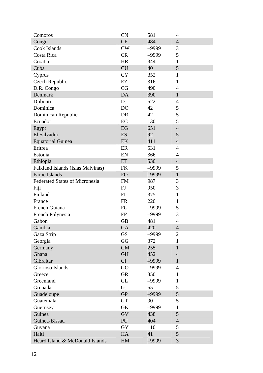| Comoros                               | <b>CN</b>      | 581     | 4              |
|---------------------------------------|----------------|---------|----------------|
| Congo                                 | <b>CF</b>      | 484     | $\overline{4}$ |
| Cook Islands                          | <b>CW</b>      | -9999   | 3              |
| Costa Rica                            | <b>CR</b>      | $-9999$ | 5              |
| Croatia                               | <b>HR</b>      | 344     | 1              |
| Cuba                                  | <b>CU</b>      | 40      | 5              |
| Cyprus                                | <b>CY</b>      | 352     | $\mathbf{1}$   |
| Czech Republic                        | EZ             | 316     | $\mathbf{1}$   |
| D.R. Congo                            | CG             | 490     | 4              |
| Denmark                               | DA             | 390     | $\mathbf{1}$   |
| Djibouti                              | DJ             | 522     | 4              |
| Dominica                              | D <sub>O</sub> | 42      | 5              |
| Dominican Republic                    | <b>DR</b>      | 42      | 5              |
| Ecuador                               | EC             | 130     | 5              |
| Egypt                                 | EG             | 651     | $\overline{4}$ |
| El Salvador                           | <b>ES</b>      | 92      | 5              |
| <b>Equatorial Guinea</b>              | EK             | 411     | $\overline{4}$ |
| Eritrea                               | ER             | 531     | $\overline{4}$ |
| Estonia                               | EN             | 366     | 4              |
| Ethiopia                              | ET             | 530     | $\overline{4}$ |
| Falkland Islands (Islas Malvinas)     | FK             | $-9999$ | 5              |
| Faroe Islands                         | <b>FO</b>      | $-9999$ | $\mathbf{1}$   |
| <b>Federated States of Micronesia</b> | <b>FM</b>      | 987     | 3              |
| Fiji                                  | FJ             | 950     | 3              |
| Finland                               | FI             | 375     | 1              |
| France                                | <b>FR</b>      | 220     | $\mathbf{1}$   |
| French Guiana                         | FG             | -9999   | 5              |
| French Polynesia                      | <b>FP</b>      | $-9999$ | 3              |
| Gabon                                 | <b>GB</b>      | 481     | 4              |
| Gambia                                | GA             | 420     | $\overline{4}$ |
| Gaza Strip                            | <b>GS</b>      | $-9999$ | $\overline{2}$ |
| Georgia                               | GG             | 372     | 1              |
| Germany                               | <b>GM</b>      | 255     | $\mathbf{1}$   |
| Ghana                                 | <b>GH</b>      | 452     | $\overline{4}$ |
| Gibraltar                             | GI             | $-9999$ | 1              |
| Glorioso Islands                      | GO             | $-9999$ | $\overline{4}$ |
| Greece                                | <b>GR</b>      | 350     | 1              |
| Greenland                             | <b>GL</b>      | $-9999$ | 1              |
| Grenada                               | GJ             | 55      | 5              |
| Guadeloupe                            | <b>GP</b>      | $-9999$ | 5              |
| Guatemala                             | <b>GT</b>      | 90      | 5              |
| Guernsey                              | <b>GK</b>      | $-9999$ | 1              |
| Guinea                                | <b>GV</b>      | 438     | 5              |
| Guinea-Bissau                         | PU             | 404     | $\overline{4}$ |
| Guyana                                | <b>GY</b>      | 110     | 5              |
| Haiti                                 | HA             | 41      | 5              |
| Heard Island & McDonald Islands       | HM             | -9999   | 3              |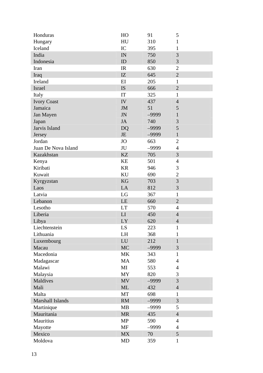| Honduras            | HO        | 91      | 5              |
|---------------------|-----------|---------|----------------|
| Hungary             | HU        | 310     | $\mathbf{1}$   |
| Iceland             | IC        | 395     | 1              |
| India               | IN        | 750     | 3              |
| Indonesia           | ID        | 850     | 3              |
| Iran                | IR        | 630     | $\overline{2}$ |
| Iraq                | IZ        | 645     | $\overline{2}$ |
| Ireland             | EI        | 205     | $\mathbf{1}$   |
| <b>Israel</b>       | <b>IS</b> | 666     | $\overline{2}$ |
| Italy               | IT        | 325     | $\mathbf{1}$   |
| <b>Ivory Coast</b>  | IV        | 437     | $\overline{4}$ |
| Jamaica             | <b>JM</b> | 51      | 5              |
| Jan Mayen           | <b>JN</b> | $-9999$ | 1              |
| Japan               | <b>JA</b> | 740     | 3              |
| Jarvis Island       | <b>DQ</b> | $-9999$ | 5              |
| Jersey              | JE        | $-9999$ | $\mathbf{1}$   |
| Jordan              | <b>JO</b> | 663     | $\overline{2}$ |
| Juan De Nova Island | JU        | $-9999$ | $\overline{4}$ |
| Kazakhstan          | <b>KZ</b> | 705     | 3              |
| Kenya               | KE        | 501     | $\overline{4}$ |
| Kiribati            | <b>KR</b> | 946     | 3              |
| Kuwait              | KU        | 690     | $\overline{2}$ |
| Kyrgyzstan          | KG        | 703     | 3              |
| Laos                | LA        | 812     | 3              |
| Latvia              | LG        | 367     | $\mathbf{1}$   |
| Lebanon             | <b>LE</b> | 660     | $\overline{2}$ |
| Lesotho             | <b>LT</b> | 570     | 4              |
| Liberia             | LI        | 450     | $\overline{4}$ |
| Libya               | LY        | 620     | $\overline{4}$ |
| Liechtenstein       | LS        | 223     | 1              |
| Lithuania           | LH        | 368     | 1              |
| Luxembourg          | LU        | 212     | $\mathbf{1}$   |
| Macau               | <b>MC</b> | $-9999$ | 3              |
| Macedonia           | <b>MK</b> | 343     | $\mathbf{1}$   |
| Madagascar          | MA        | 580     | 4              |
| Malawi              | MI        | 553     | 4              |
| Malaysia            | <b>MY</b> | 820     | 3              |
| Maldives            | <b>MV</b> | $-9999$ | 3              |
| Mali                | <b>ML</b> | 432     | $\overline{4}$ |
| Malta               | MT        | 698     | $\mathbf{1}$   |
| Marshall Islands    | RM        | $-9999$ | 3              |
| Martinique          | MB        | -9999   | 5              |
| Mauritania          | <b>MR</b> | 435     | $\overline{4}$ |
| Mauritius           | <b>MP</b> | 590     | $\overline{4}$ |
| Mayotte             | <b>MF</b> | $-9999$ | 4              |
| Mexico              | <b>MX</b> | 70      | 5              |
| Moldova             | MD        | 359     | 1              |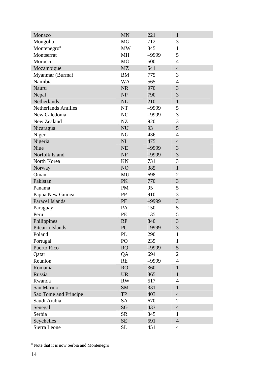| Monaco                      | <b>MN</b> | 221     | $\mathbf{1}$   |
|-----------------------------|-----------|---------|----------------|
| Mongolia                    | MG        | 712     | 3              |
| Montenegro <sup>8</sup>     | <b>MW</b> | 345     | 1              |
| Montserrat                  | MH        | $-9999$ | 5              |
| Morocco                     | MO        | 600     | 4              |
| Mozambique                  | <b>MZ</b> | 541     | $\overline{4}$ |
| Myanmar (Burma)             | <b>BM</b> | 775     | 3              |
| Namibia                     | <b>WA</b> | 565     | $\overline{4}$ |
| Nauru                       | <b>NR</b> | 970     | 3              |
| Nepal                       | <b>NP</b> | 790     | 3              |
| Netherlands                 | NL        | 210     | $\mathbf{1}$   |
| <b>Netherlands Antilles</b> | <b>NT</b> | -9999   | 5              |
| New Caledonia               | NC        | $-9999$ | 3              |
| New Zealand                 | NZ        | 920     | 3              |
| Nicaragua                   | <b>NU</b> | 93      | 5              |
| Niger                       | NG        | 436     | $\overline{4}$ |
| Nigeria                     | NI        | 475     | $\overline{4}$ |
| Niue                        | <b>NE</b> | $-9999$ | 3              |
| Norfolk Island              | <b>NF</b> | $-9999$ | 3              |
| North Korea                 | KN        | 731     | 3              |
| Norway                      | NO        | 385     | $\mathbf{1}$   |
| Oman                        | MU        | 698     | $\overline{2}$ |
| Pakistan                    | <b>PK</b> | 770     | 3              |
| Panama                      | <b>PM</b> | 95      | 5              |
| Papua New Guinea            | PP        | 910     | 3              |
| Paracel Islands             | PF        | $-9999$ | 3              |
| Paraguay                    | PA        | 150     | 5              |
| Peru                        | PE        | 135     | 5              |
| Philippines                 | <b>RP</b> | 840     | 3              |
| Pitcairn Islands            | PC        | -9999   | 3              |
| Poland                      | PL        | 290     | 1              |
| Portugal                    | PO        | 235     | 1              |
| Puerto Rico                 | <b>RQ</b> | $-9999$ | 5              |
| Qatar                       | QA        | 694     | $\overline{2}$ |
| Reunion                     | <b>RE</b> | -9999   | $\overline{4}$ |
| Romania                     | <b>RO</b> | 360     | $\mathbf{1}$   |
| Russia                      | <b>UR</b> | 365     | $\mathbf{1}$   |
| Rwanda                      | <b>RW</b> | 517     | 4              |
| San Marino                  | <b>SM</b> | 331     | 1              |
| Sao Tome and Principe       | <b>TP</b> | 403     | $\overline{4}$ |
| Saudi Arabia                | <b>SA</b> | 670     | $\overline{2}$ |
| Senegal                     | SG        | 433     | $\overline{4}$ |
| Serbia                      | <b>SR</b> | 345     | $\mathbf{1}$   |
| Seychelles                  | SE        | 591     | $\overline{4}$ |
| Sierra Leone                | <b>SL</b> | 451     | 4              |

<sup>&</sup>lt;sup>8</sup> Note that it is now Serbia and Montenegro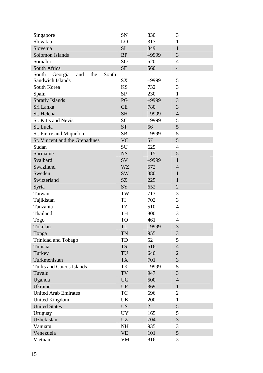| Singapore                               | SN        | 830            | 3              |
|-----------------------------------------|-----------|----------------|----------------|
| Slovakia                                | LO        | 317            | 1              |
| Slovenia                                | SI        | 349            | $\mathbf{1}$   |
| Solomon Islands                         | <b>BP</b> | $-9999$        | 3              |
| Somalia                                 | SO        | 520            | $\overline{4}$ |
| South Africa                            | <b>SF</b> | 560            | $\overline{4}$ |
| South<br>Georgia<br>and<br>the<br>South |           |                |                |
| <b>Sandwich Islands</b>                 | <b>SX</b> | $-9999$        | 5              |
| South Korea                             | <b>KS</b> | 732            | 3              |
| Spain                                   | <b>SP</b> | 230            | 1              |
| <b>Spratly Islands</b>                  | PG        | $-9999$        | 3              |
| Sri Lanka                               | <b>CE</b> | 780            | 3              |
| St. Helena                              | <b>SH</b> | $-9999$        | $\overline{4}$ |
| St. Kitts and Nevis                     | <b>SC</b> | $-9999$        | 5              |
| St. Lucia                               | <b>ST</b> | 56             | 5              |
| St. Pierre and Miquelon                 | SB        | -9999          | 5              |
| St. Vincent and the Grenadines          | <b>VC</b> | 57             | 5              |
| Sudan                                   | SU        | 625            | 4              |
| Suriname                                | <b>NS</b> | 115            | 5              |
| Svalbard                                | SV        | $-9999$        | $\mathbf{1}$   |
| Swaziland                               | <b>WZ</b> | 572            | $\overline{4}$ |
| Sweden                                  | <b>SW</b> | 380            | $\mathbf{1}$   |
| Switzerland                             | SZ        | 225            | $\mathbf{1}$   |
| Syria                                   | SY        | 652            | $\overline{2}$ |
| Taiwan                                  | TW        | 713            | 3              |
| Tajikistan                              | TI        | 702            | 3              |
| Tanzania                                | TZ        | 510            | $\overline{4}$ |
| Thailand                                | TH        | 800            | 3              |
| Togo                                    | TO        | 461            | 4              |
| Tokelau                                 | TL        | $-9999$        | 3              |
| Tonga                                   | TN        | 955            | 3              |
| Trinidad and Tobago                     | TD        | 52             | 5              |
| Tunisia                                 | <b>TS</b> | 616            | $\overline{4}$ |
| Turkey                                  | TU        | 640            | $\overline{c}$ |
| Turkmenistan                            | <b>TX</b> | 701            | $\overline{3}$ |
| <b>Turks and Caicos Islands</b>         | TK        | $-9999$        | 5              |
| Tuvalu                                  | TV        | 947            | 3              |
| Uganda                                  | <b>UG</b> | 500            | 4              |
| Ukraine                                 | <b>UP</b> | 369            | $\mathbf{1}$   |
| <b>United Arab Emirates</b>             | TC        | 696            | 2              |
| <b>United Kingdom</b>                   | UK        | 200            | 1              |
| <b>United States</b>                    | <b>US</b> | $\overline{2}$ | 5              |
| Uruguay                                 | UY        | 165            | 5              |
| Uzbekistan                              | <b>UZ</b> | 704            | 3              |
| Vanuatu                                 | <b>NH</b> | 935            | 3              |
| Venezuela                               | <b>VE</b> | 101            | 5              |
| Vietnam                                 | VM        | 816            | 3              |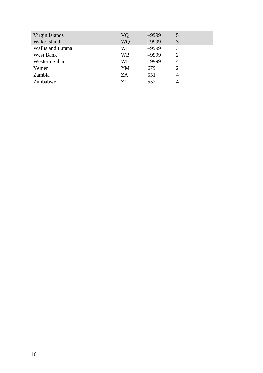| Virgin Islands           | VQ | $-9999$ | 5 |
|--------------------------|----|---------|---|
| Wake Island              | WQ | $-9999$ | 3 |
| <b>Wallis and Futuna</b> | WF | $-9999$ | 3 |
| West Bank                | WB | $-9999$ | 2 |
| Western Sahara           | WI | $-9999$ | 4 |
| Yemen                    | YM | 679     | 2 |
| Zambia                   | ZA | 551     | 4 |
| Zimbabwe                 | 7J | 552     | 4 |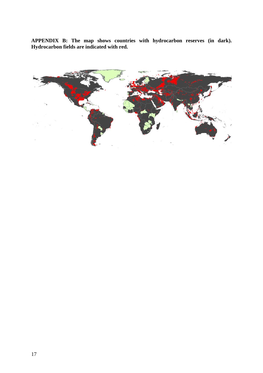**APPENDIX B: The map shows countries with hydrocarbon reserves (in dark). Hydrocarbon fields are indicated with red.**